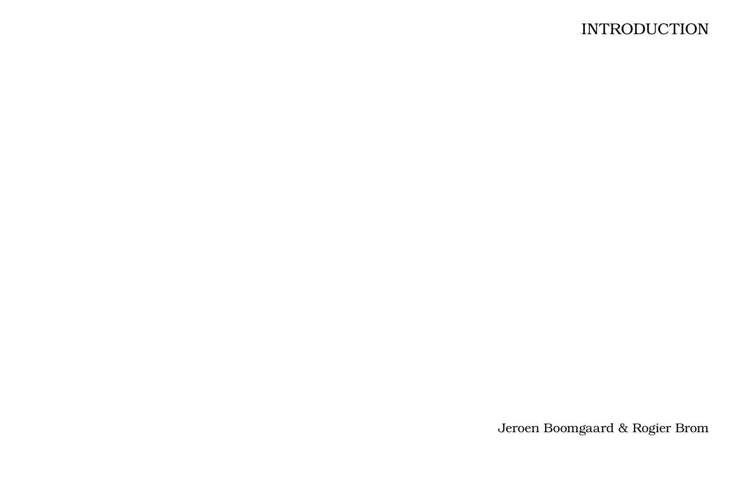## **INTRODUCTION**

Jeroen Boomgaard & Rogier Brom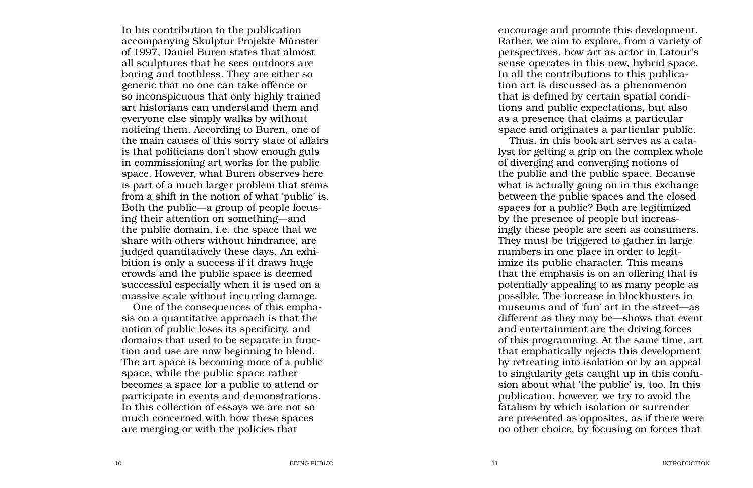accompanying Skulptur Projekte Münster of 1997, Daniel Buren states that almost all sculptures that he sees outdoors are boring and toothless. They are either so generic that no one can take offence or so inconspicuous that only highly trained art historians can understand them and everyone else simply walks by without noticing them. According to Buren, one of the main causes of this sorry state of affairs is that politicians don't show enough guts in commissioning art works for the public space. However, what Buren observes here is part of a much larger problem that stems from a shift in the notion of what 'public' is. Both the public—a group of people focus ing their attention on something—and the public domain, i.e. the space that we share with others without hindrance, are judged quantitatively these days. An exhi bition is only a success if it draws huge crowds and the public space is deemed successful especially when it is used on a massive scale without incurring damage.

One of the consequences of this empha sis on a quantitative approach is that the notion of public loses its specificity, and domains that used to be separate in func tion and use are now beginning to blend. The art space is becoming more of a public space, while the public space rather becomes a space for a public to attend or participate in events and demonstrations. In this collection of essays we are not so much concerned with how these spaces are merging or with the policies that

encourage and promote this development. Rather, we aim to explore, from a variety of perspectives, how art as actor in Latour's sense operates in this new, hybrid space. In all the contributions to this publication art is discussed as a phenomenon that is defined by certain spatial condi tions and public expectations, but also as a presence that claims a particular space and originates a particular public.

In its contribution is only a public site of the contribution in the state of the contribution is contribution to the public site of the contribution is only a second and scale of the contribution is the publication of th Thus, in this book art serves as a cata lyst for getting a grip on the complex whole of diverging and converging notions of the public and the public space. Because what is actually going on in this exchange between the public spaces and the closed spaces for a public? Both are legitimized by the presence of people but increas ingly these people are seen as consumers. They must be triggered to gather in large numbers in one place in order to legit imize its public character. This means that the emphasis is on an offering that is potentially appealing to as many people as possible. The increase in blockbusters in museums and of 'fun' art in the street—as different as they may be—shows that event and entertainment are the driving forces of this programming. At the same time, art that emphatically rejects this development by retreating into isolation or by an appeal to singularity gets caught up in this confu sion about what 'the public' is, too. In this publication, however, we try to avoid the fatalism by which isolation or surrender are presented as opposites, as if there were no other choice, by focusing on forces that